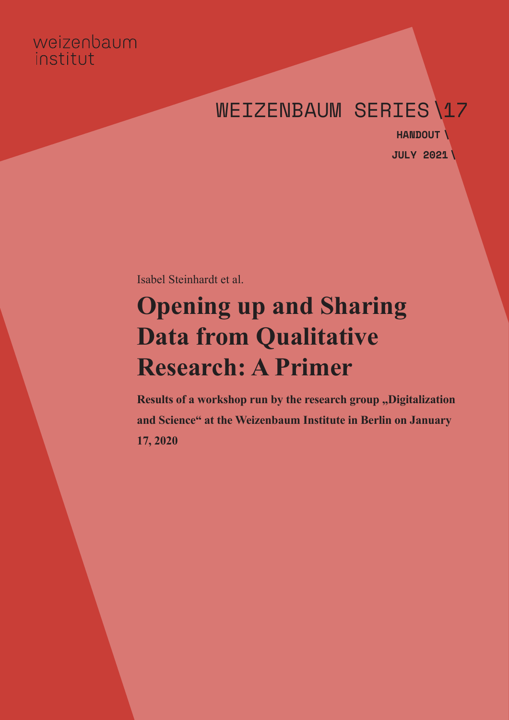# weizenbaum institut

# WEIZENBAUM SERIES\17

**JULY 2021 \HANDOUT \**

Isabel Steinhardt et al.

# **Opening up and Sharing Data from Qualitative Research: A Primer**

**Results of a workshop run by the research group ,, Digitalization and Science" at the Weizenbaum Institute in Berlin on January 17, 2020**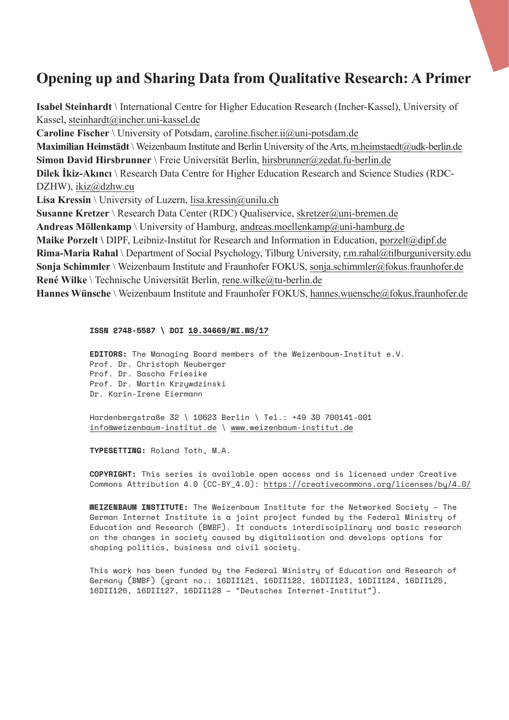# **Opening up and Sharing Data from Qualitative Research: A Primer**

**Isabel Steinhardt** \ International Centre for Higher Education Research (Incher-Kassel), University of Kassel, steinhardt@incher.uni-kassel.de **Caroline Fischer** \ University of Potsdam, caroline.fischer.ii@uni-potsdam.de **Maximilian Heimstädt** \ Weizenbaum Institute and Berlin University of the Arts, m.heimstaedt@udk-berlin.de **Simon David Hirsbrunner** \ Freie Universität Berlin, hirsbrunner@zedat.fu-berlin.de **Dilek İkiz-Akıncı** \ Research Data Centre for Higher Education Research and Science Studies (RDC-DZHW), ikiz@dzhw.eu Lisa Kressin \ University of Luzern, lisa.kressin@unilu.ch **Susanne Kretzer** \ Research Data Center (RDC) Qualiservice, skretzer@uni-bremen.de **Andreas Möllenkamp** \ University of Hamburg, andreas.moellenkamp@uni-hamburg.de **Maike Porzelt \** DIPF, Leibniz-Institut for Research and Information in Education, porzelt@dipf.de **Rima-Maria Rahal** \ Department of Social Psychology, Tilburg University, r.m.rahal@tilburguniversity.edu **Sonja Schimmler** \ Weizenbaum Institute and Fraunhofer FOKUS, sonja.schimmler@fokus.fraunhofer.de **René Wilke** \ Technische Universität Berlin, rene.wilke@tu-berlin.de Hannes Wünsche \ Weizenbaum Institute and Fraunhofer FOKUS, hannes.wuensche@fokus.fraunhofer.de

#### **ISSN 2748-5587 \ DOI 10.34669/WI.WS/17**

**EDITORS:** The Managing Board members of the Weizenbaum-Institut e.V. Prof. Dr. Christoph Neuberger Prof. Dr. Sascha Friesike Prof. Dr. Martin Krzywdzinski Dr. Karin-Irene Eiermann Hardenbergstraße 32 \ 10623 Berlin \ Tel.: +49 30 700141-001

info@weizenbaum-institut.de \ www.weizenbaum-institut.de

**TYPESETTING:** Roland Toth, M.A.

**COPYRIGHT:** This series is available open access and is licensed under Creative Commons Attribution 4.0 (CC-BY\_4.0): https://creativecommons.org/licenses/by/4.0/

**WEIZENBAUM INSTITUTE:** The Weizenbaum Institute for the Networked Society – The German Internet Institute is a joint project funded by the Federal Ministry of Education and Research (BMBF). It conducts interdisciplinary and basic research on the changes in society caused by digitalisation and develops options for shaping politics, business and civil society.

This work has been funded by the Federal Ministry of Education and Research of Germany (BMBF) (grant no.: 16DII121, 16DII122, 16DII123, 16DII124, 16DII125, 16DII126, 16DII127, 16DII128 – "Deutsches Internet-Institut").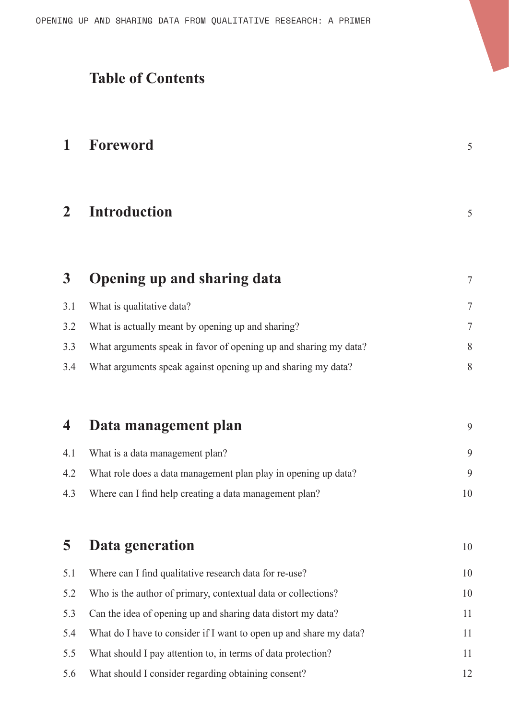# **Table of Contents**

| 1              | Foreword                                                           | 5  |
|----------------|--------------------------------------------------------------------|----|
| $\mathbf{2}$   | <b>Introduction</b>                                                | 5  |
| 3 <sup>1</sup> | <b>Opening up and sharing data</b>                                 | 7  |
| 3.1            | What is qualitative data?                                          | 7  |
| 3.2            | What is actually meant by opening up and sharing?                  | 7  |
| 3.3            | What arguments speak in favor of opening up and sharing my data?   | 8  |
| 3.4            | What arguments speak against opening up and sharing my data?       | 8  |
| 4              | Data management plan                                               | 9  |
| 4.1            | What is a data management plan?                                    | 9  |
| 4.2            | What role does a data management plan play in opening up data?     | 9  |
| 4.3            | Where can I find help creating a data management plan?             | 10 |
| 5              | Data generation                                                    | 10 |
| 5.1            | Where can I find qualitative research data for re-use?             | 10 |
| 5.2            | Who is the author of primary, contextual data or collections?      | 10 |
| 5.3            | Can the idea of opening up and sharing data distort my data?       | 11 |
| 5.4            | What do I have to consider if I want to open up and share my data? | 11 |
| 5.5            | What should I pay attention to, in terms of data protection?       | 11 |
| 5.6            | What should I consider regarding obtaining consent?                | 12 |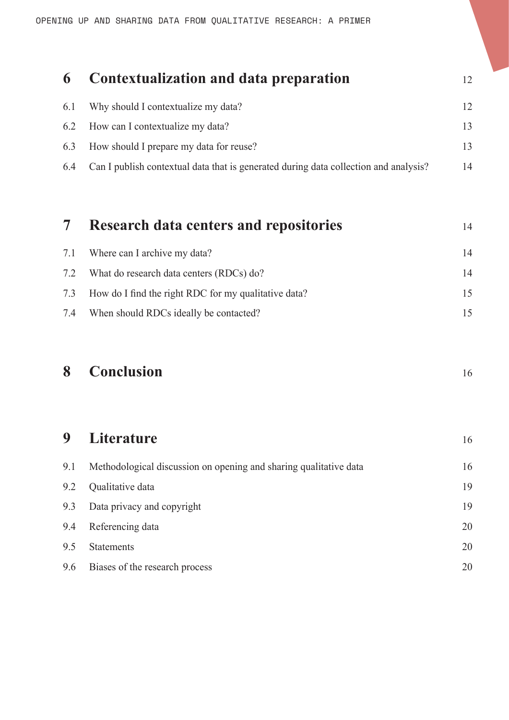# **6 Contextualization and data preparation** <sup>12</sup> 6.1 Why should I contextualize my data? 12 6.2 How can I contextualize my data? 13 6.3 How should I prepare my data for reuse? 13 6.4 Can I publish contextual data that is generated during data collection and analysis? 14

|     | <b>Research data centers and repositories</b>        | 14 |
|-----|------------------------------------------------------|----|
|     | 7.1 Where can I archive my data?                     | 14 |
|     | 7.2 What do research data centers (RDCs) do?         | 14 |
| 7.3 | How do I find the right RDC for my qualitative data? |    |
| 7.4 | When should RDCs ideally be contacted?               |    |

# **8 Conclusion** <sup>16</sup>

| 9   | <b>Literature</b>                                                 | 16 |
|-----|-------------------------------------------------------------------|----|
| 9.1 | Methodological discussion on opening and sharing qualitative data | 16 |
| 9.2 | Qualitative data                                                  | 19 |
| 9.3 | Data privacy and copyright                                        | 19 |
| 9.4 | Referencing data                                                  | 20 |
| 9.5 | <b>Statements</b>                                                 | 20 |
| 9.6 | Biases of the research process                                    | 20 |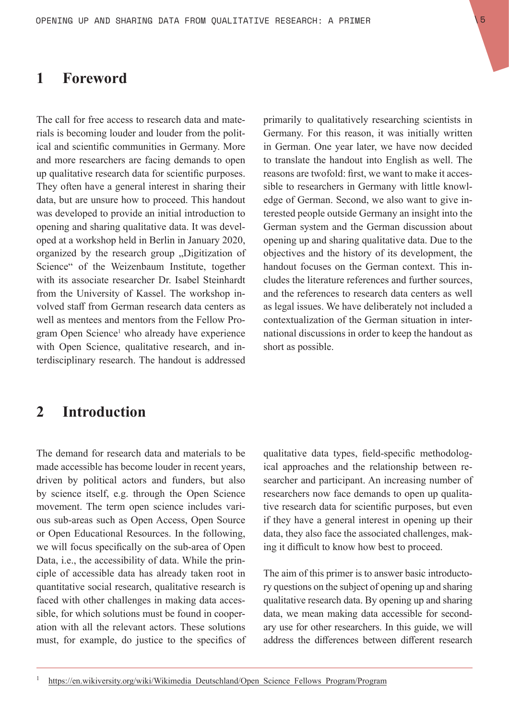### **1 Foreword**

The call for free access to research data and materials is becoming louder and louder from the political and scientific communities in Germany. More and more researchers are facing demands to open up qualitative research data for scientific purposes. They often have a general interest in sharing their data, but are unsure how to proceed. This handout was developed to provide an initial introduction to opening and sharing qualitative data. It was developed at a workshop held in Berlin in January 2020, organized by the research group "Digitization of Science" of the Weizenbaum Institute, together with its associate researcher Dr. Isabel Steinhardt from the University of Kassel. The workshop involved staff from German research data centers as well as mentees and mentors from the Fellow Program Open Science<sup>1</sup> who already have experience with Open Science, qualitative research, and interdisciplinary research. The handout is addressed

primarily to qualitatively researching scientists in Germany. For this reason, it was initially written in German. One year later, we have now decided to translate the handout into English as well. The reasons are twofold: first, we want to make it accessible to researchers in Germany with little knowledge of German. Second, we also want to give interested people outside Germany an insight into the German system and the German discussion about opening up and sharing qualitative data. Due to the objectives and the history of its development, the handout focuses on the German context. This includes the literature references and further sources, and the references to research data centers as well as legal issues. We have deliberately not included a contextualization of the German situation in international discussions in order to keep the handout as short as possible.

### **2 Introduction**

The demand for research data and materials to be made accessible has become louder in recent years, driven by political actors and funders, but also by science itself, e.g. through the Open Science movement. The term open science includes various sub-areas such as Open Access, Open Source or Open Educational Resources. In the following, we will focus specifically on the sub-area of Open Data, i.e., the accessibility of data. While the principle of accessible data has already taken root in quantitative social research, qualitative research is faced with other challenges in making data accessible, for which solutions must be found in cooperation with all the relevant actors. These solutions must, for example, do justice to the specifics of qualitative data types, field-specific methodological approaches and the relationship between researcher and participant. An increasing number of researchers now face demands to open up qualitative research data for scientific purposes, but even if they have a general interest in opening up their data, they also face the associated challenges, making it difficult to know how best to proceed.

The aim of this primer is to answer basic introductory questions on the subject of opening up and sharing qualitative research data. By opening up and sharing data, we mean making data accessible for secondary use for other researchers. In this guide, we will address the differences between different research

<sup>1</sup> https://en.wikiversity.org/wiki/Wikimedia Deutschland/Open Science Fellows Program/Program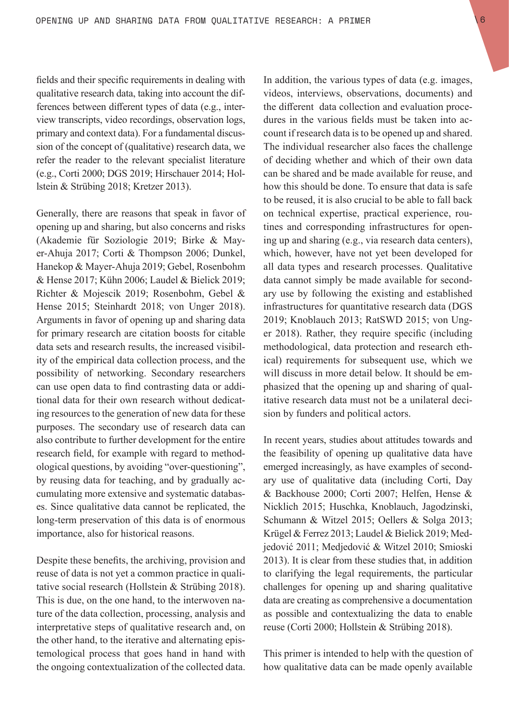fields and their specific requirements in dealing with qualitative research data, taking into account the differences between different types of data (e.g., interview transcripts, video recordings, observation logs, primary and context data). For a fundamental discussion of the concept of (qualitative) research data, we refer the reader to the relevant specialist literature (e.g., Corti 2000; DGS 2019; Hirschauer 2014; Hollstein & Strübing 2018; Kretzer 2013).

Generally, there are reasons that speak in favor of opening up and sharing, but also concerns and risks (Akademie für Soziologie 2019; Birke & Mayer-Ahuja 2017; Corti & Thompson 2006; Dunkel, Hanekop & Mayer-Ahuja 2019; Gebel, Rosenbohm & Hense 2017; Kühn 2006; Laudel & Bielick 2019; Richter & Mojescik 2019; Rosenbohm, Gebel & Hense 2015; Steinhardt 2018; von Unger 2018). Arguments in favor of opening up and sharing data for primary research are citation boosts for citable data sets and research results, the increased visibility of the empirical data collection process, and the possibility of networking. Secondary researchers can use open data to find contrasting data or additional data for their own research without dedicating resources to the generation of new data for these purposes. The secondary use of research data can also contribute to further development for the entire research field, for example with regard to methodological questions, by avoiding "over-questioning", by reusing data for teaching, and by gradually accumulating more extensive and systematic databases. Since qualitative data cannot be replicated, the long-term preservation of this data is of enormous importance, also for historical reasons.

Despite these benefits, the archiving, provision and reuse of data is not yet a common practice in qualitative social research (Hollstein & Strübing 2018). This is due, on the one hand, to the interwoven nature of the data collection, processing, analysis and interpretative steps of qualitative research and, on the other hand, to the iterative and alternating epistemological process that goes hand in hand with the ongoing contextualization of the collected data.

In addition, the various types of data (e.g. images, videos, interviews, observations, documents) and the different data collection and evaluation procedures in the various fields must be taken into account if research data is to be opened up and shared. The individual researcher also faces the challenge of deciding whether and which of their own data can be shared and be made available for reuse, and how this should be done. To ensure that data is safe to be reused, it is also crucial to be able to fall back on technical expertise, practical experience, routines and corresponding infrastructures for opening up and sharing (e.g., via research data centers), which, however, have not yet been developed for all data types and research processes. Qualitative data cannot simply be made available for secondary use by following the existing and established infrastructures for quantitative research data (DGS 2019; Knoblauch 2013; RatSWD 2015; von Unger 2018). Rather, they require specific (including methodological, data protection and research ethical) requirements for subsequent use, which we will discuss in more detail below. It should be emphasized that the opening up and sharing of qualitative research data must not be a unilateral decision by funders and political actors.

In recent years, studies about attitudes towards and the feasibility of opening up qualitative data have emerged increasingly, as have examples of secondary use of qualitative data (including Corti, Day & Backhouse 2000; Corti 2007; Helfen, Hense & Nicklich 2015; Huschka, Knoblauch, Jagodzinski, Schumann & Witzel 2015; Oellers & Solga 2013; Krügel & Ferrez 2013; Laudel & Bielick 2019; Medjedović 2011; Medjedović & Witzel 2010; Smioski 2013). It is clear from these studies that, in addition to clarifying the legal requirements, the particular challenges for opening up and sharing qualitative data are creating as comprehensive a documentation as possible and contextualizing the data to enable reuse (Corti 2000; Hollstein & Strübing 2018).

This primer is intended to help with the question of how qualitative data can be made openly available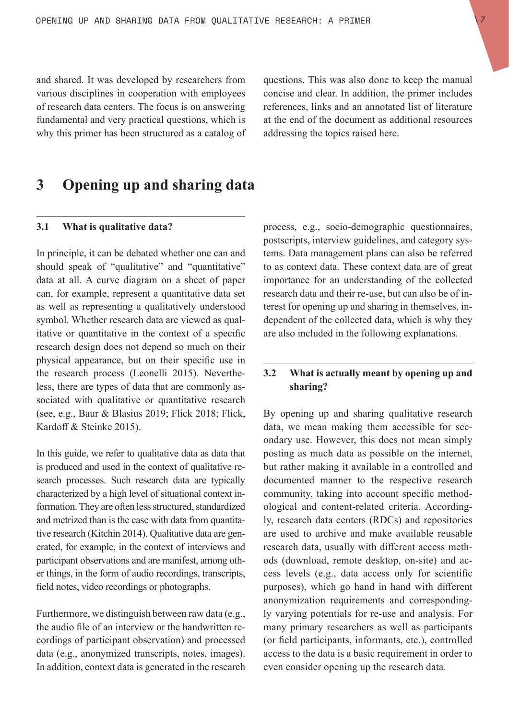and shared. It was developed by researchers from various disciplines in cooperation with employees of research data centers. The focus is on answering fundamental and very practical questions, which is why this primer has been structured as a catalog of questions. This was also done to keep the manual concise and clear. In addition, the primer includes references, links and an annotated list of literature at the end of the document as additional resources addressing the topics raised here.

# **3 Opening up and sharing data**

#### **3.1 What is qualitative data?**

In principle, it can be debated whether one can and should speak of "qualitative" and "quantitative" data at all. A curve diagram on a sheet of paper can, for example, represent a quantitative data set as well as representing a qualitatively understood symbol. Whether research data are viewed as qualitative or quantitative in the context of a specific research design does not depend so much on their physical appearance, but on their specific use in the research process (Leonelli 2015). Nevertheless, there are types of data that are commonly associated with qualitative or quantitative research (see, e.g., Baur & Blasius 2019; Flick 2018; Flick, Kardoff & Steinke 2015).

In this guide, we refer to qualitative data as data that is produced and used in the context of qualitative research processes. Such research data are typically characterized by a high level of situational context information. They are often less structured, standardized and metrized than is the case with data from quantitative research (Kitchin 2014). Qualitative data are generated, for example, in the context of interviews and participant observations and are manifest, among other things, in the form of audio recordings, transcripts, field notes, video recordings or photographs.

Furthermore, we distinguish between raw data (e.g., the audio file of an interview or the handwritten recordings of participant observation) and processed data (e.g., anonymized transcripts, notes, images). In addition, context data is generated in the research process, e.g., socio-demographic questionnaires, postscripts, interview guidelines, and category systems. Data management plans can also be referred to as context data. These context data are of great importance for an understanding of the collected research data and their re-use, but can also be of interest for opening up and sharing in themselves, independent of the collected data, which is why they are also included in the following explanations.

#### **3.2 What is actually meant by opening up and sharing?**

By opening up and sharing qualitative research data, we mean making them accessible for secondary use. However, this does not mean simply posting as much data as possible on the internet, but rather making it available in a controlled and documented manner to the respective research community, taking into account specific methodological and content-related criteria. Accordingly, research data centers (RDCs) and repositories are used to archive and make available reusable research data, usually with different access methods (download, remote desktop, on-site) and access levels (e.g., data access only for scientific purposes), which go hand in hand with different anonymization requirements and correspondingly varying potentials for re-use and analysis. For many primary researchers as well as participants (or field participants, informants, etc.), controlled access to the data is a basic requirement in order to even consider opening up the research data.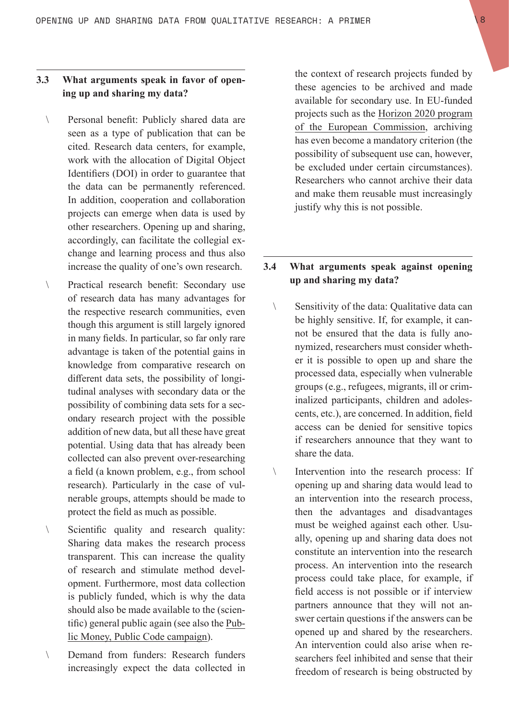#### **3.3 What arguments speak in favor of opening up and sharing my data?**

- \ Personal benefit: Publicly shared data are seen as a type of publication that can be cited. Research data centers, for example, work with the allocation of Digital Object Identifiers (DOI) in order to guarantee that the data can be permanently referenced. In addition, cooperation and collaboration projects can emerge when data is used by other researchers. Opening up and sharing, accordingly, can facilitate the collegial exchange and learning process and thus also increase the quality of one's own research.
- Practical research benefit: Secondary use of research data has many advantages for the respective research communities, even though this argument is still largely ignored in many fields. In particular, so far only rare advantage is taken of the potential gains in knowledge from comparative research on different data sets, the possibility of longitudinal analyses with secondary data or the possibility of combining data sets for a secondary research project with the possible addition of new data, but all these have great potential. Using data that has already been collected can also prevent over-researching a field (a known problem, e.g., from school research). Particularly in the case of vulnerable groups, attempts should be made to protect the field as much as possible.
- Scientific quality and research quality: Sharing data makes the research process transparent. This can increase the quality of research and stimulate method development. Furthermore, most data collection is publicly funded, which is why the data should also be made available to the (scientific) general public again (see also the Public Money, Public Code campaign).
- \ Demand from funders: Research funders increasingly expect the data collected in

the context of research projects funded by these agencies to be archived and made available for secondary use. In EU-funded projects such as the Horizon 2020 program of the European Commission, archiving has even become a mandatory criterion (the possibility of subsequent use can, however, be excluded under certain circumstances). Researchers who cannot archive their data and make them reusable must increasingly justify why this is not possible.

#### **3.4 What arguments speak against opening up and sharing my data?**

- \ Sensitivity of the data: Qualitative data can be highly sensitive. If, for example, it cannot be ensured that the data is fully anonymized, researchers must consider whether it is possible to open up and share the processed data, especially when vulnerable groups (e.g., refugees, migrants, ill or criminalized participants, children and adolescents, etc.), are concerned. In addition, field access can be denied for sensitive topics if researchers announce that they want to share the data.
- \ Intervention into the research process: If opening up and sharing data would lead to an intervention into the research process, then the advantages and disadvantages must be weighed against each other. Usually, opening up and sharing data does not constitute an intervention into the research process. An intervention into the research process could take place, for example, if field access is not possible or if interview partners announce that they will not answer certain questions if the answers can be opened up and shared by the researchers. An intervention could also arise when researchers feel inhibited and sense that their freedom of research is being obstructed by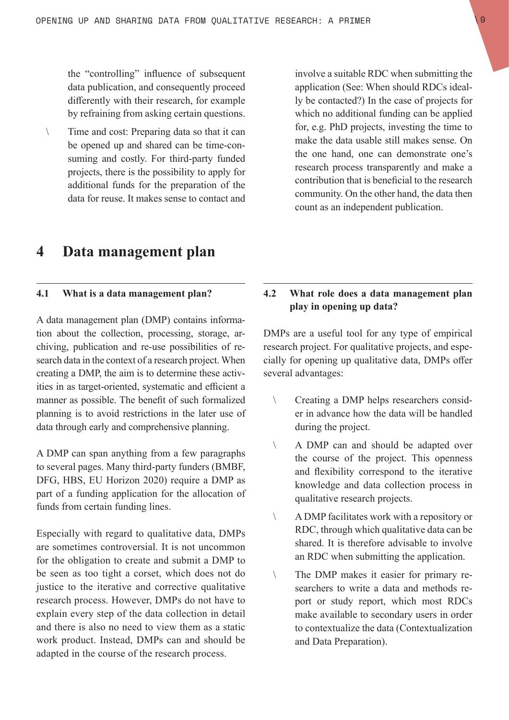the "controlling" influence of subsequent data publication, and consequently proceed differently with their research, for example by refraining from asking certain questions.

\ Time and cost: Preparing data so that it can be opened up and shared can be time-consuming and costly. For third-party funded projects, there is the possibility to apply for additional funds for the preparation of the data for reuse. It makes sense to contact and involve a suitable RDC when submitting the application (See: When should RDCs ideally be contacted?) In the case of projects for which no additional funding can be applied for, e.g. PhD projects, investing the time to make the data usable still makes sense. On the one hand, one can demonstrate one's research process transparently and make a contribution that is beneficial to the research community. On the other hand, the data then count as an independent publication.

## **4 Data management plan**

#### **4.1 What is a data management plan?**

A data management plan (DMP) contains information about the collection, processing, storage, archiving, publication and re-use possibilities of research data in the context of a research project. When creating a DMP, the aim is to determine these activities in as target-oriented, systematic and efficient a manner as possible. The benefit of such formalized planning is to avoid restrictions in the later use of data through early and comprehensive planning.

A DMP can span anything from a few paragraphs to several pages. Many third-party funders (BMBF, DFG, HBS, EU Horizon 2020) require a DMP as part of a funding application for the allocation of funds from certain funding lines.

Especially with regard to qualitative data, DMPs are sometimes controversial. It is not uncommon for the obligation to create and submit a DMP to be seen as too tight a corset, which does not do justice to the iterative and corrective qualitative research process. However, DMPs do not have to explain every step of the data collection in detail and there is also no need to view them as a static work product. Instead, DMPs can and should be adapted in the course of the research process.

#### **4.2 What role does a data management plan play in opening up data?**

DMPs are a useful tool for any type of empirical research project. For qualitative projects, and especially for opening up qualitative data, DMPs offer several advantages:

- \ Creating a DMP helps researchers consider in advance how the data will be handled during the project.
- \ A DMP can and should be adapted over the course of the project. This openness and flexibility correspond to the iterative knowledge and data collection process in qualitative research projects.
- \ A DMP facilitates work with a repository or RDC, through which qualitative data can be shared. It is therefore advisable to involve an RDC when submitting the application.
- \ The DMP makes it easier for primary researchers to write a data and methods report or study report, which most RDCs make available to secondary users in order to contextualize the data (Contextualization and Data Preparation).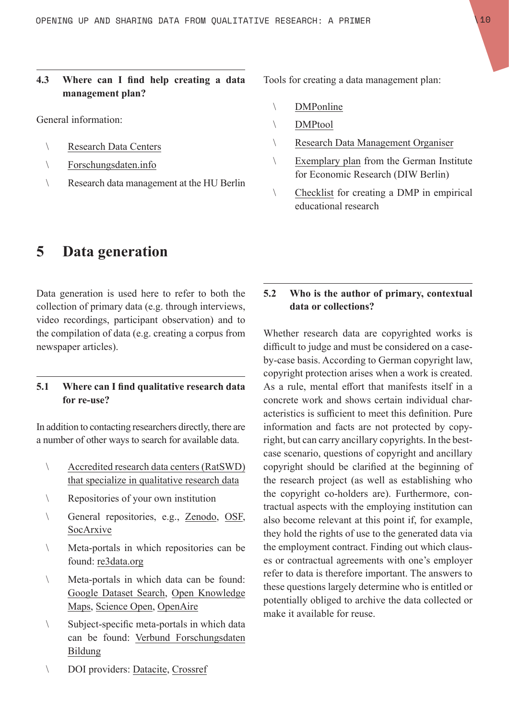#### **4.3 Where can I find help creating a data management plan?**

General information:

- \ Research Data Centers
- \ Forschungsdaten.info
- \ Research data management at the HU Berlin

**5 Data generation**

Data generation is used here to refer to both the collection of primary data (e.g. through interviews, video recordings, participant observation) and to the compilation of data (e.g. creating a corpus from newspaper articles).

#### **5.1 Where can I find qualitative research data for re-use?**

In addition to contacting researchers directly, there are a number of other ways to search for available data.

- \ Accredited research data centers (RatSWD) that specialize in qualitative research data
- \ Repositories of your own institution
- \ General repositories, e.g., Zenodo, OSF, SocArxive
- \ Meta-portals in which repositories can be found: re3data.org
- \ Meta-portals in which data can be found: Google Dataset Search, Open Knowledge Maps, Science Open, OpenAire
- Subject-specific meta-portals in which data can be found: Verbund Forschungsdaten Bildung
- Tools for creating a data management plan:
	- \ DMPonline
	- \ DMPtool
	- \ Research Data Management Organiser
	- \ Exemplary plan from the German Institute for Economic Research (DIW Berlin)
	- \ Checklist for creating a DMP in empirical educational research

#### **5.2 Who is the author of primary, contextual data or collections?**

Whether research data are copyrighted works is difficult to judge and must be considered on a caseby-case basis. According to German copyright law, copyright protection arises when a work is created. As a rule, mental effort that manifests itself in a concrete work and shows certain individual characteristics is sufficient to meet this definition. Pure information and facts are not protected by copyright, but can carry ancillary copyrights. In the bestcase scenario, questions of copyright and ancillary copyright should be clarified at the beginning of the research project (as well as establishing who the copyright co-holders are). Furthermore, contractual aspects with the employing institution can also become relevant at this point if, for example, they hold the rights of use to the generated data via the employment contract. Finding out which clauses or contractual agreements with one's employer refer to data is therefore important. The answers to these questions largely determine who is entitled or potentially obliged to archive the data collected or make it available for reuse.

\ DOI providers: Datacite, Crossref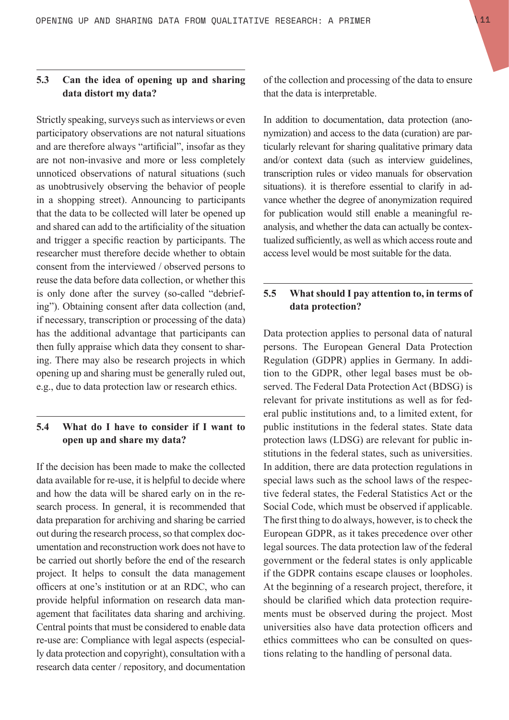#### **5.3 Can the idea of opening up and sharing data distort my data?**

Strictly speaking, surveys such as interviews or even participatory observations are not natural situations and are therefore always "artificial", insofar as they are not non-invasive and more or less completely unnoticed observations of natural situations (such as unobtrusively observing the behavior of people in a shopping street). Announcing to participants that the data to be collected will later be opened up and shared can add to the artificiality of the situation and trigger a specific reaction by participants. The researcher must therefore decide whether to obtain consent from the interviewed / observed persons to reuse the data before data collection, or whether this is only done after the survey (so-called "debriefing"). Obtaining consent after data collection (and, if necessary, transcription or processing of the data) has the additional advantage that participants can then fully appraise which data they consent to sharing. There may also be research projects in which opening up and sharing must be generally ruled out, e.g., due to data protection law or research ethics.

#### **5.4 What do I have to consider if I want to open up and share my data?**

If the decision has been made to make the collected data available for re-use, it is helpful to decide where and how the data will be shared early on in the research process. In general, it is recommended that data preparation for archiving and sharing be carried out during the research process, so that complex documentation and reconstruction work does not have to be carried out shortly before the end of the research project. It helps to consult the data management officers at one's institution or at an RDC, who can provide helpful information on research data management that facilitates data sharing and archiving. Central points that must be considered to enable data re-use are: Compliance with legal aspects (especially data protection and copyright), consultation with a research data center / repository, and documentation

of the collection and processing of the data to ensure that the data is interpretable.

In addition to documentation, data protection (anonymization) and access to the data (curation) are particularly relevant for sharing qualitative primary data and/or context data (such as interview guidelines, transcription rules or video manuals for observation situations). it is therefore essential to clarify in advance whether the degree of anonymization required for publication would still enable a meaningful reanalysis, and whether the data can actually be contextualized sufficiently, as well as which access route and access level would be most suitable for the data.

#### **5.5 What should I pay attention to, in terms of data protection?**

Data protection applies to personal data of natural persons. The European General Data Protection Regulation (GDPR) applies in Germany. In addition to the GDPR, other legal bases must be observed. The Federal Data Protection Act (BDSG) is relevant for private institutions as well as for federal public institutions and, to a limited extent, for public institutions in the federal states. State data protection laws (LDSG) are relevant for public institutions in the federal states, such as universities. In addition, there are data protection regulations in special laws such as the school laws of the respective federal states, the Federal Statistics Act or the Social Code, which must be observed if applicable. The first thing to do always, however, is to check the European GDPR, as it takes precedence over other legal sources. The data protection law of the federal government or the federal states is only applicable if the GDPR contains escape clauses or loopholes. At the beginning of a research project, therefore, it should be clarified which data protection requirements must be observed during the project. Most universities also have data protection officers and ethics committees who can be consulted on questions relating to the handling of personal data.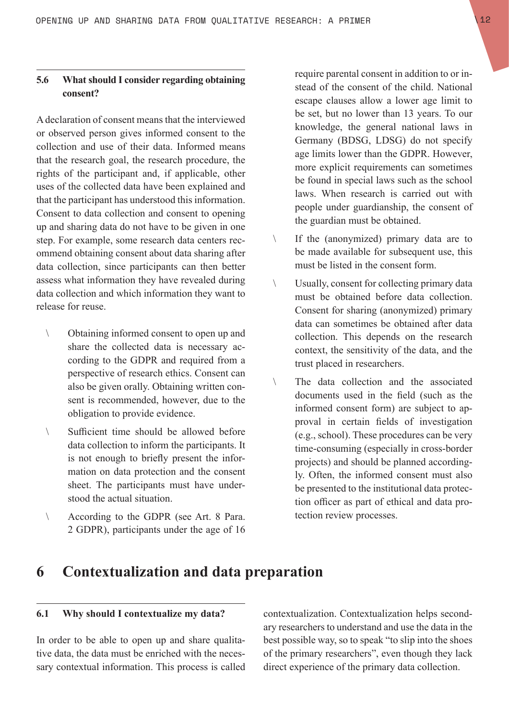#### **5.6 What should I consider regarding obtaining consent?**

A declaration of consent means that the interviewed or observed person gives informed consent to the collection and use of their data. Informed means that the research goal, the research procedure, the rights of the participant and, if applicable, other uses of the collected data have been explained and that the participant has understood this information. Consent to data collection and consent to opening up and sharing data do not have to be given in one step. For example, some research data centers recommend obtaining consent about data sharing after data collection, since participants can then better assess what information they have revealed during data collection and which information they want to release for reuse.

- \ Obtaining informed consent to open up and share the collected data is necessary according to the GDPR and required from a perspective of research ethics. Consent can also be given orally. Obtaining written consent is recommended, however, due to the obligation to provide evidence.
- Sufficient time should be allowed before data collection to inform the participants. It is not enough to briefly present the information on data protection and the consent sheet. The participants must have understood the actual situation.
- \ According to the GDPR (see Art. 8 Para. 2 GDPR), participants under the age of 16

require parental consent in addition to or instead of the consent of the child. National escape clauses allow a lower age limit to be set, but no lower than 13 years. To our knowledge, the general national laws in Germany (BDSG, LDSG) do not specify age limits lower than the GDPR. However, more explicit requirements can sometimes be found in special laws such as the school laws. When research is carried out with people under guardianship, the consent of the guardian must be obtained.

- \ If the (anonymized) primary data are to be made available for subsequent use, this must be listed in the consent form.
- \ Usually, consent for collecting primary data must be obtained before data collection. Consent for sharing (anonymized) primary data can sometimes be obtained after data collection. This depends on the research context, the sensitivity of the data, and the trust placed in researchers.
- \ The data collection and the associated documents used in the field (such as the informed consent form) are subject to approval in certain fields of investigation (e.g., school). These procedures can be very time-consuming (especially in cross-border projects) and should be planned accordingly. Often, the informed consent must also be presented to the institutional data protection officer as part of ethical and data protection review processes.

## **6 Contextualization and data preparation**

#### **6.1 Why should I contextualize my data?**

In order to be able to open up and share qualitative data, the data must be enriched with the necessary contextual information. This process is called contextualization. Contextualization helps secondary researchers to understand and use the data in the best possible way, so to speak "to slip into the shoes of the primary researchers", even though they lack direct experience of the primary data collection.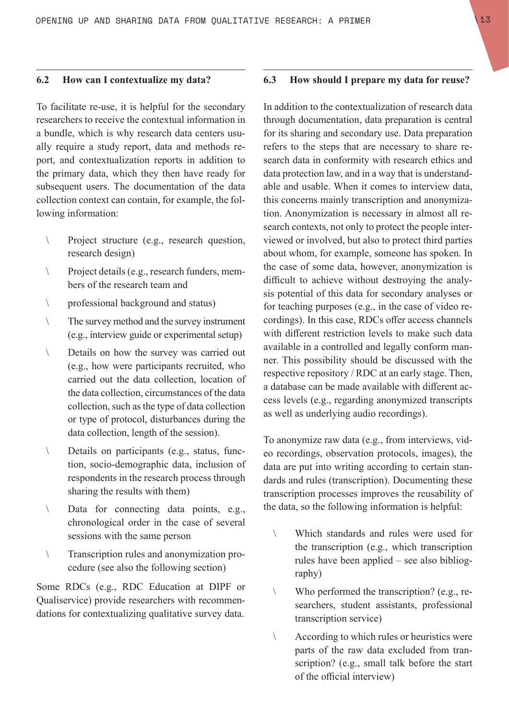#### **6.2 How can I contextualize my data?**

To facilitate re-use, it is helpful for the secondary researchers to receive the contextual information in a bundle, which is why research data centers usually require a study report, data and methods report, and contextualization reports in addition to the primary data, which they then have ready for subsequent users. The documentation of the data collection context can contain, for example, the following information:

- \ Project structure (e.g., research question, research design)
- \ Project details (e.g., research funders, members of the research team and
- \ professional background and status)
- \ The survey method and the survey instrument (e.g., interview guide or experimental setup)
- \ Details on how the survey was carried out (e.g., how were participants recruited, who carried out the data collection, location of the data collection, circumstances of the data collection, such as the type of data collection or type of protocol, disturbances during the data collection, length of the session).
- \ Details on participants (e.g., status, function, socio-demographic data, inclusion of respondents in the research process through sharing the results with them)
- \ Data for connecting data points, e.g., chronological order in the case of several sessions with the same person
- \ Transcription rules and anonymization procedure (see also the following section)

Some RDCs (e.g., RDC Education at DIPF or Qualiservice) provide researchers with recommendations for contextualizing qualitative survey data.

#### **6.3 How should I prepare my data for reuse?**

In addition to the contextualization of research data through documentation, data preparation is central for its sharing and secondary use. Data preparation refers to the steps that are necessary to share research data in conformity with research ethics and data protection law, and in a way that is understandable and usable. When it comes to interview data, this concerns mainly transcription and anonymization. Anonymization is necessary in almost all research contexts, not only to protect the people interviewed or involved, but also to protect third parties about whom, for example, someone has spoken. In the case of some data, however, anonymization is difficult to achieve without destroying the analysis potential of this data for secondary analyses or for teaching purposes (e.g., in the case of video recordings). In this case, RDCs offer access channels with different restriction levels to make such data available in a controlled and legally conform manner. This possibility should be discussed with the respective repository / RDC at an early stage. Then, a database can be made available with different access levels (e.g., regarding anonymized transcripts as well as underlying audio recordings).

To anonymize raw data (e.g., from interviews, video recordings, observation protocols, images), the data are put into writing according to certain standards and rules (transcription). Documenting these transcription processes improves the reusability of the data, so the following information is helpful:

- \ Which standards and rules were used for the transcription (e.g., which transcription rules have been applied – see also bibliography)
- \ Who performed the transcription? (e.g., researchers, student assistants, professional transcription service)
- \ According to which rules or heuristics were parts of the raw data excluded from transcription? (e.g., small talk before the start of the official interview)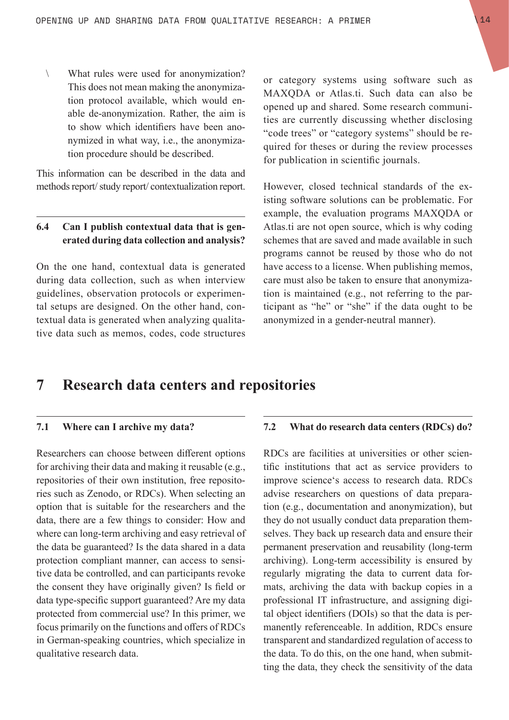\ What rules were used for anonymization? This does not mean making the anonymization protocol available, which would enable de-anonymization. Rather, the aim is to show which identifiers have been anonymized in what way, i.e., the anonymization procedure should be described.

This information can be described in the data and methods report/ study report/ contextualization report.

#### **6.4 Can I publish contextual data that is generated during data collection and analysis?**

On the one hand, contextual data is generated during data collection, such as when interview guidelines, observation protocols or experimental setups are designed. On the other hand, contextual data is generated when analyzing qualitative data such as memos, codes, code structures or category systems using software such as MAXQDA or Atlas.ti. Such data can also be opened up and shared. Some research communities are currently discussing whether disclosing "code trees" or "category systems" should be required for theses or during the review processes for publication in scientific journals.

However, closed technical standards of the existing software solutions can be problematic. For example, the evaluation programs MAXQDA or Atlas.ti are not open source, which is why coding schemes that are saved and made available in such programs cannot be reused by those who do not have access to a license. When publishing memos, care must also be taken to ensure that anonymization is maintained (e.g., not referring to the participant as "he" or "she" if the data ought to be anonymized in a gender-neutral manner).

### **7 Research data centers and repositories**

#### **7.1 Where can I archive my data?**

Researchers can choose between different options for archiving their data and making it reusable (e.g., repositories of their own institution, free repositories such as Zenodo, or RDCs). When selecting an option that is suitable for the researchers and the data, there are a few things to consider: How and where can long-term archiving and easy retrieval of the data be guaranteed? Is the data shared in a data protection compliant manner, can access to sensitive data be controlled, and can participants revoke the consent they have originally given? Is field or data type-specific support guaranteed? Are my data protected from commercial use? In this primer, we focus primarily on the functions and offers of RDCs in German-speaking countries, which specialize in qualitative research data.

#### **7.2 What do research data centers (RDCs) do?**

RDCs are facilities at universities or other scientific institutions that act as service providers to improve science's access to research data. RDCs advise researchers on questions of data preparation (e.g., documentation and anonymization), but they do not usually conduct data preparation themselves. They back up research data and ensure their permanent preservation and reusability (long-term archiving). Long-term accessibility is ensured by regularly migrating the data to current data formats, archiving the data with backup copies in a professional IT infrastructure, and assigning digital object identifiers (DOIs) so that the data is permanently referenceable. In addition, RDCs ensure transparent and standardized regulation of access to the data. To do this, on the one hand, when submitting the data, they check the sensitivity of the data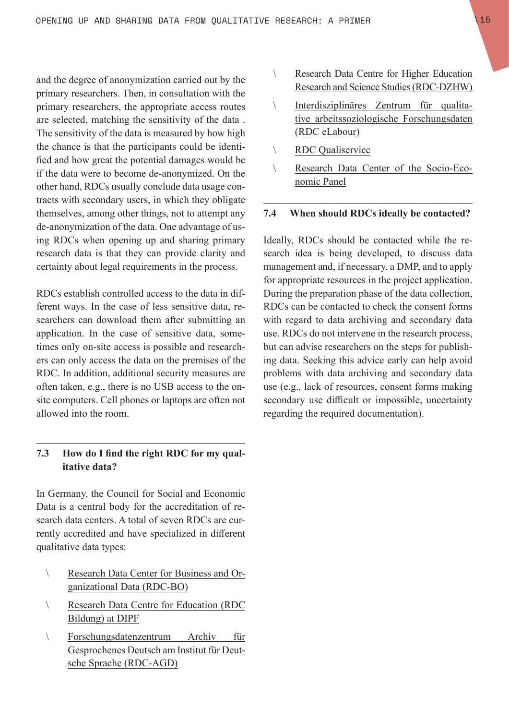and the degree of anonymization carried out by the primary researchers. Then, in consultation with the primary researchers, the appropriate access routes are selected, matching the sensitivity of the data . The sensitivity of the data is measured by how high the chance is that the participants could be identified and how great the potential damages would be if the data were to become de-anonymized. On the other hand, RDCs usually conclude data usage contracts with secondary users, in which they obligate themselves, among other things, not to attempt any de-anonymization of the data. One advantage of using RDCs when opening up and sharing primary research data is that they can provide clarity and certainty about legal requirements in the process.

RDCs establish controlled access to the data in different ways. In the case of less sensitive data, researchers can download them after submitting an application. In the case of sensitive data, sometimes only on-site access is possible and researchers can only access the data on the premises of the RDC. In addition, additional security measures are often taken, e.g., there is no USB access to the onsite computers. Cell phones or laptops are often not allowed into the room.

#### **7.3 How do I find the right RDC for my qualitative data?**

In Germany, the Council for Social and Economic Data is a central body for the accreditation of research data centers. A total of seven RDCs are currently accredited and have specialized in different qualitative data types:

- \ Research Data Center for Business and Organizational Data (RDC-BO)
- \ Research Data Centre for Education (RDC Bildung) at DIPF
- \ Forschungsdatenzentrum Archiv für Gesprochenes Deutsch am Institut für Deutsche Sprache (RDC-AGD)
- \ Research Data Centre for Higher Education Research and Science Studies (RDC-DZHW)
- \ Interdisziplinäres Zentrum für qualitative arbeitssoziologische Forschungsdaten (RDC eLabour)
- \ RDC Qualiservice
- \ Research Data Center of the Socio-Economic Panel

#### **7.4 When should RDCs ideally be contacted?**

Ideally, RDCs should be contacted while the research idea is being developed, to discuss data management and, if necessary, a DMP, and to apply for appropriate resources in the project application. During the preparation phase of the data collection, RDCs can be contacted to check the consent forms with regard to data archiving and secondary data use. RDCs do not intervene in the research process, but can advise researchers on the steps for publishing data. Seeking this advice early can help avoid problems with data archiving and secondary data use (e.g., lack of resources, consent forms making secondary use difficult or impossible, uncertainty regarding the required documentation).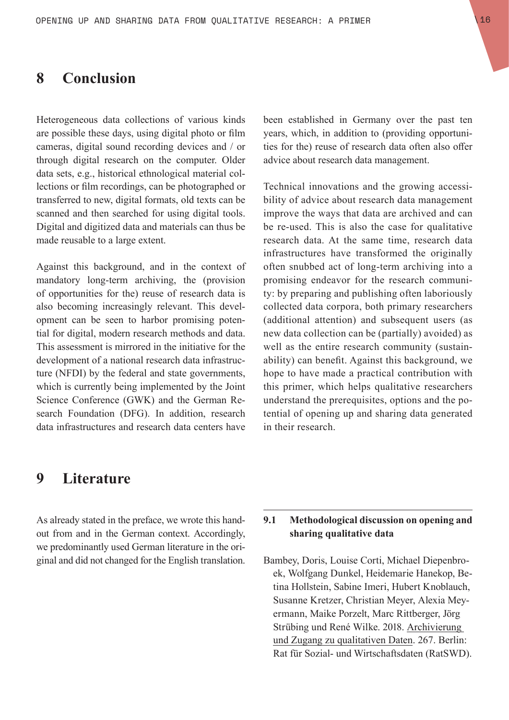### **8 Conclusion**

Heterogeneous data collections of various kinds are possible these days, using digital photo or film cameras, digital sound recording devices and / or through digital research on the computer. Older data sets, e.g., historical ethnological material collections or film recordings, can be photographed or transferred to new, digital formats, old texts can be scanned and then searched for using digital tools. Digital and digitized data and materials can thus be made reusable to a large extent.

Against this background, and in the context of mandatory long-term archiving, the (provision of opportunities for the) reuse of research data is also becoming increasingly relevant. This development can be seen to harbor promising potential for digital, modern research methods and data. This assessment is mirrored in the initiative for the development of a national research data infrastructure (NFDI) by the federal and state governments, which is currently being implemented by the Joint Science Conference (GWK) and the German Research Foundation (DFG). In addition, research data infrastructures and research data centers have

been established in Germany over the past ten years, which, in addition to (providing opportunities for the) reuse of research data often also offer advice about research data management.

Technical innovations and the growing accessibility of advice about research data management improve the ways that data are archived and can be re-used. This is also the case for qualitative research data. At the same time, research data infrastructures have transformed the originally often snubbed act of long-term archiving into a promising endeavor for the research community: by preparing and publishing often laboriously collected data corpora, both primary researchers (additional attention) and subsequent users (as new data collection can be (partially) avoided) as well as the entire research community (sustainability) can benefit. Against this background, we hope to have made a practical contribution with this primer, which helps qualitative researchers understand the prerequisites, options and the potential of opening up and sharing data generated in their research.

### **9 Literature**

As already stated in the preface, we wrote this handout from and in the German context. Accordingly, we predominantly used German literature in the original and did not changed for the English translation.

#### **9.1 Methodological discussion on opening and sharing qualitative data**

Bambey, Doris, Louise Corti, Michael Diepenbroek, Wolfgang Dunkel, Heidemarie Hanekop, Betina Hollstein, Sabine Imeri, Hubert Knoblauch, Susanne Kretzer, Christian Meyer, Alexia Meyermann, Maike Porzelt, Marc Rittberger, Jörg Strübing und René Wilke. 2018. Archivierung und Zugang zu qualitativen Daten. 267. Berlin: Rat für Sozial- und Wirtschaftsdaten (RatSWD).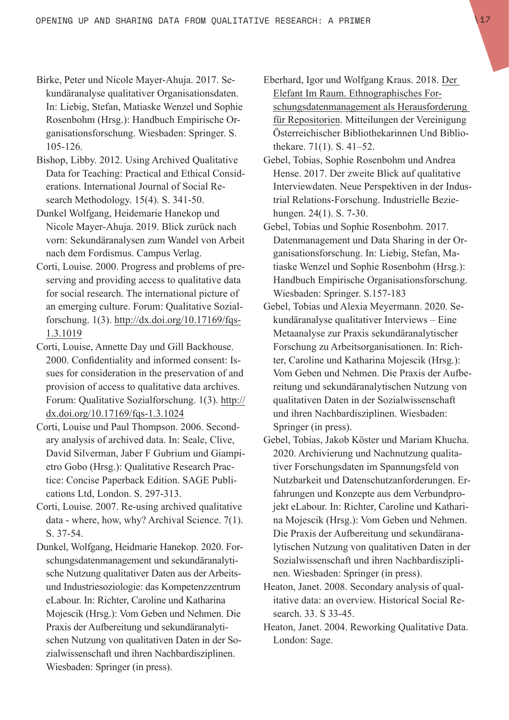- Birke, Peter und Nicole Mayer-Ahuja. 2017. Sekundäranalyse qualitativer Organisationsdaten. In: Liebig, Stefan, Matiaske Wenzel und Sophie Rosenbohm (Hrsg.): Handbuch Empirische Organisationsforschung. Wiesbaden: Springer. S. 105-126.
- Bishop, Libby. 2012. Using Archived Qualitative Data for Teaching: Practical and Ethical Considerations. International Journal of Social Research Methodology. 15(4). S. 341-50.
- Dunkel Wolfgang, Heidemarie Hanekop und Nicole Mayer-Ahuja. 2019. Blick zurück nach vorn: Sekundäranalysen zum Wandel von Arbeit nach dem Fordismus. Campus Verlag.
- Corti, Louise. 2000. Progress and problems of preserving and providing access to qualitative data for social research. The international picture of an emerging culture. Forum: Qualitative Sozialforschung. 1(3). http://dx.doi.org/10.17169/fqs-1.3.1019
- Corti, Louise, Annette Day und Gill Backhouse. 2000. Confidentiality and informed consent: Issues for consideration in the preservation of and provision of access to qualitative data archives. Forum: Qualitative Sozialforschung. 1(3). http:// dx.doi.org/10.17169/fqs-1.3.1024
- Corti, Louise und Paul Thompson. 2006. Secondary analysis of archived data. In: Seale, Clive, David Silverman, Jaber F Gubrium und Giampietro Gobo (Hrsg.): Qualitative Research Practice: Concise Paperback Edition. SAGE Publications Ltd, London. S. 297-313.
- Corti, Louise. 2007. Re-using archived qualitative data - where, how, why? Archival Science. 7(1). S. 37-54.
- Dunkel, Wolfgang, Heidmarie Hanekop. 2020. Forschungsdatenmanagement und sekundäranalytische Nutzung qualitativer Daten aus der Arbeitsund Industriesoziologie: das Kompetenzzentrum eLabour. In: Richter, Caroline und Katharina Mojescik (Hrsg.): Vom Geben und Nehmen. Die Praxis der Aufbereitung und sekundäranalytischen Nutzung von qualitativen Daten in der Sozialwissenschaft und ihren Nachbardisziplinen. Wiesbaden: Springer (in press).
- Eberhard, Igor und Wolfgang Kraus. 2018. Der Elefant Im Raum. Ethnographisches Forschungsdatenmanagement als Herausforderung für Repositorien. Mitteilungen der Vereinigung Österreichischer Bibliothekarinnen Und Bibliothekare. 71(1). S. 41–52.
- Gebel, Tobias, Sophie Rosenbohm und Andrea Hense. 2017. Der zweite Blick auf qualitative Interviewdaten. Neue Perspektiven in der Industrial Relations-Forschung. Industrielle Beziehungen. 24(1). S. 7-30.
- Gebel, Tobias und Sophie Rosenbohm. 2017. Datenmanagement und Data Sharing in der Organisationsforschung. In: Liebig, Stefan, Matiaske Wenzel und Sophie Rosenbohm (Hrsg.): Handbuch Empirische Organisationsforschung. Wiesbaden: Springer. S.157-183
- Gebel, Tobias und Alexia Meyermann. 2020. Sekundäranalyse qualitativer Interviews – Eine Metaanalyse zur Praxis sekundäranalytischer Forschung zu Arbeitsorganisationen. In: Richter, Caroline und Katharina Mojescik (Hrsg.): Vom Geben und Nehmen. Die Praxis der Aufbereitung und sekundäranalytischen Nutzung von qualitativen Daten in der Sozialwissenschaft und ihren Nachbardisziplinen. Wiesbaden: Springer (in press).
- Gebel, Tobias, Jakob Köster und Mariam Khucha. 2020. Archivierung und Nachnutzung qualitativer Forschungsdaten im Spannungsfeld von Nutzbarkeit und Datenschutzanforderungen. Erfahrungen und Konzepte aus dem Verbundprojekt eLabour. In: Richter, Caroline und Katharina Mojescik (Hrsg.): Vom Geben und Nehmen. Die Praxis der Aufbereitung und sekundäranalytischen Nutzung von qualitativen Daten in der Sozialwissenschaft und ihren Nachbardisziplinen. Wiesbaden: Springer (in press).
- Heaton, Janet. 2008. Secondary analysis of qualitative data: an overview. Historical Social Research. 33. S 33-45.
- Heaton, Janet. 2004. Reworking Qualitative Data. London: Sage.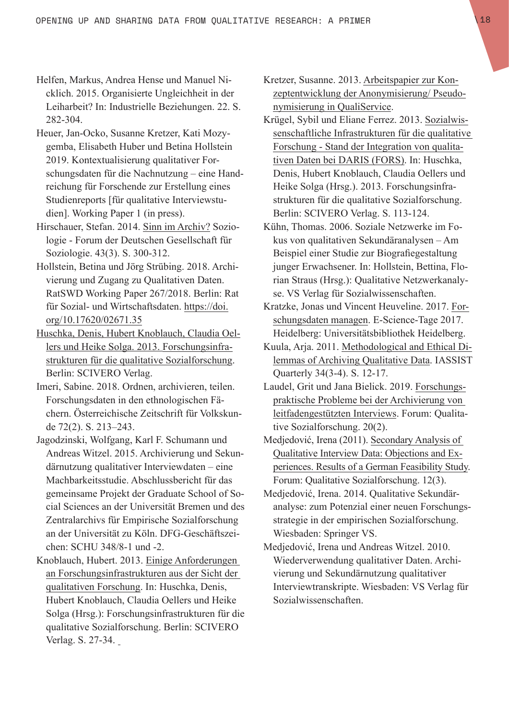- Helfen, Markus, Andrea Hense und Manuel Nicklich. 2015. Organisierte Ungleichheit in der Leiharbeit? In: Industrielle Beziehungen. 22. S. 282-304.
- Heuer, Jan-Ocko, Susanne Kretzer, Kati Mozygemba, Elisabeth Huber und Betina Hollstein 2019. Kontextualisierung qualitativer Forschungsdaten für die Nachnutzung – eine Handreichung für Forschende zur Erstellung eines Studienreports [für qualitative Interviewstudien]. Working Paper 1 (in press).
- Hirschauer, Stefan. 2014. Sinn im Archiv? Soziologie - Forum der Deutschen Gesellschaft für Soziologie. 43(3). S. 300-312.
- Hollstein, Betina und Jörg Strübing. 2018. Archivierung und Zugang zu Qualitativen Daten. RatSWD Working Paper 267/2018. Berlin: Rat für Sozial- und Wirtschaftsdaten. https://doi. org/10.17620/02671.35
- Huschka, Denis, Hubert Knoblauch, Claudia Oellers und Heike Solga. 2013. Forschungsinfrastrukturen für die qualitative Sozialforschung. Berlin: SCIVERO Verlag.
- Imeri, Sabine. 2018. Ordnen, archivieren, teilen. Forschungsdaten in den ethnologischen Fächern. Österreichische Zeitschrift für Volkskunde 72(2). S. 213–243.
- Jagodzinski, Wolfgang, Karl F. Schumann und Andreas Witzel. 2015. Archivierung und Sekundärnutzung qualitativer Interviewdaten – eine Machbarkeitsstudie. Abschlussbericht für das gemeinsame Projekt der Graduate School of Social Sciences an der Universität Bremen und des Zentralarchivs für Empirische Sozialforschung an der Universität zu Köln. DFG-Geschäftszeichen: SCHU 348/8-1 und -2.
- Knoblauch, Hubert. 2013. Einige Anforderungen an Forschungsinfrastrukturen aus der Sicht der qualitativen Forschung. In: Huschka, Denis, Hubert Knoblauch, Claudia Oellers und Heike Solga (Hrsg.): Forschungsinfrastrukturen für die qualitative Sozialforschung. Berlin: SCIVERO Verlag. S. 27-34.
- Kretzer, Susanne. 2013. Arbeitspapier zur Konzeptentwicklung der Anonymisierung/ Pseudonymisierung in QualiService.
- Krügel, Sybil und Eliane Ferrez. 2013. Sozialwissenschaftliche Infrastrukturen für die qualitative Forschung - Stand der Integration von qualitativen Daten bei DARIS (FORS). In: Huschka, Denis, Hubert Knoblauch, Claudia Oellers und Heike Solga (Hrsg.). 2013. Forschungsinfrastrukturen für die qualitative Sozialforschung. Berlin: SCIVERO Verlag. S. 113-124.
- Kühn, Thomas. 2006. Soziale Netzwerke im Fokus von qualitativen Sekundäranalysen – Am Beispiel einer Studie zur Biografiegestaltung junger Erwachsener. In: Hollstein, Bettina, Florian Straus (Hrsg.): Qualitative Netzwerkanalyse. VS Verlag für Sozialwissenschaften.
- Kratzke, Jonas und Vincent Heuveline. 2017. Forschungsdaten managen. E-Science-Tage 2017. Heidelberg: Universitätsbibliothek Heidelberg.
- Kuula, Arja. 2011. Methodological and Ethical Dilemmas of Archiving Qualitative Data. IASSIST Quarterly 34(3-4). S. 12-17.
- Laudel, Grit und Jana Bielick. 2019. Forschungspraktische Probleme bei der Archivierung von leitfadengestützten Interviews. Forum: Qualitative Sozialforschung. 20(2).
- Medjedović, Irena (2011). Secondary Analysis of Qualitative Interview Data: Objections and Experiences. Results of a German Feasibility Study. Forum: Qualitative Sozialforschung. 12(3).
- Medjedović, Irena. 2014. Qualitative Sekundäranalyse: zum Potenzial einer neuen Forschungsstrategie in der empirischen Sozialforschung. Wiesbaden: Springer VS.
- Medjedović, Irena und Andreas Witzel. 2010. Wiederverwendung qualitativer Daten. Archivierung und Sekundärnutzung qualitativer Interviewtranskripte. Wiesbaden: VS Verlag für Sozialwissenschaften.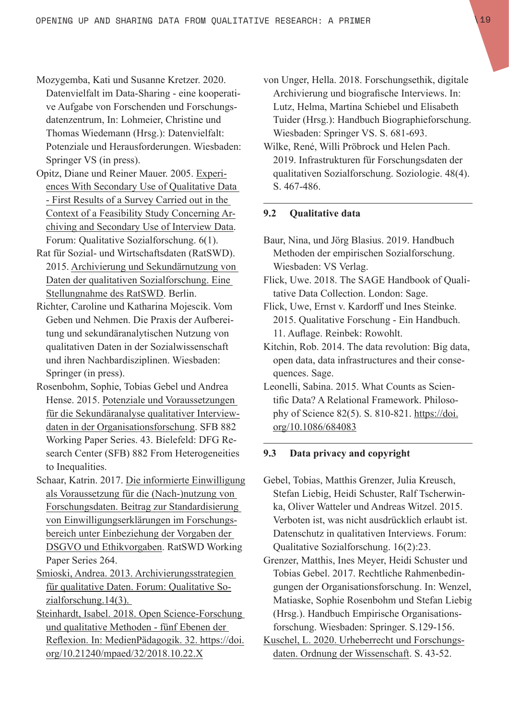- Mozygemba, Kati und Susanne Kretzer. 2020. Datenvielfalt im Data-Sharing - eine kooperative Aufgabe von Forschenden und Forschungsdatenzentrum, In: Lohmeier, Christine und Thomas Wiedemann (Hrsg.): Datenvielfalt: Potenziale und Herausforderungen. Wiesbaden: Springer VS (in press).
- Opitz, Diane und Reiner Mauer. 2005. Experiences With Secondary Use of Qualitative Data - First Results of a Survey Carried out in the Context of a Feasibility Study Concerning Archiving and Secondary Use of Interview Data. Forum: Qualitative Sozialforschung. 6(1).
- Rat für Sozial- und Wirtschaftsdaten (RatSWD). 2015. Archivierung und Sekundärnutzung von Daten der qualitativen Sozialforschung. Eine Stellungnahme des RatSWD. Berlin.
- Richter, Caroline und Katharina Mojescik. Vom Geben und Nehmen. Die Praxis der Aufbereitung und sekundäranalytischen Nutzung von qualitativen Daten in der Sozialwissenschaft und ihren Nachbardisziplinen. Wiesbaden: Springer (in press).
- Rosenbohm, Sophie, Tobias Gebel und Andrea Hense. 2015. Potenziale und Voraussetzungen für die Sekundäranalyse qualitativer Interviewdaten in der Organisationsforschung. SFB 882 Working Paper Series. 43. Bielefeld: DFG Research Center (SFB) 882 From Heterogeneities to Inequalities.
- Schaar, Katrin. 2017. Die informierte Einwilligung als Voraussetzung für die (Nach-)nutzung von Forschungsdaten. Beitrag zur Standardisierung von Einwilligungserklärungen im Forschungsbereich unter Einbeziehung der Vorgaben der DSGVO und Ethikvorgaben. RatSWD Working Paper Series 264.
- Smioski, Andrea. 2013. Archivierungsstrategien für qualitative Daten. Forum: Qualitative Sozialforschung.14(3).
- Steinhardt, Isabel. 2018. Open Science-Forschung und qualitative Methoden - fünf Ebenen der Reflexion. In: MedienPädagogik. 32. https://doi. org/10.21240/mpaed/32/2018.10.22.X
- von Unger, Hella. 2018. Forschungsethik, digitale Archivierung und biografische Interviews. In: Lutz, Helma, Martina Schiebel und Elisabeth Tuider (Hrsg.): Handbuch Biographieforschung. Wiesbaden: Springer VS. S. 681-693.
- Wilke, René, Willi Pröbrock und Helen Pach. 2019. Infrastrukturen für Forschungsdaten der qualitativen Sozialforschung. Soziologie. 48(4). S. 467-486.

#### **9.2 Qualitative data**

- Baur, Nina, und Jörg Blasius. 2019. Handbuch Methoden der empirischen Sozialforschung. Wiesbaden: VS Verlag.
- Flick, Uwe. 2018. The SAGE Handbook of Qualitative Data Collection. London: Sage.
- Flick, Uwe, Ernst v. Kardorff und Ines Steinke. 2015. Qualitative Forschung - Ein Handbuch. 11. Auflage. Reinbek: Rowohlt.
- Kitchin, Rob. 2014. The data revolution: Big data, open data, data infrastructures and their consequences. Sage.
- Leonelli, Sabina. 2015. What Counts as Scientific Data? A Relational Framework. Philosophy of Science 82(5). S. 810-821. https://doi. org/10.1086/684083

#### **9.3 Data privacy and copyright**

- Gebel, Tobias, Matthis Grenzer, Julia Kreusch, Stefan Liebig, Heidi Schuster, Ralf Tscherwinka, Oliver Watteler und Andreas Witzel. 2015. Verboten ist, was nicht ausdrücklich erlaubt ist. Datenschutz in qualitativen Interviews. Forum: Qualitative Sozialforschung. 16(2):23.
- Grenzer, Matthis, Ines Meyer, Heidi Schuster und Tobias Gebel. 2017. Rechtliche Rahmenbedingungen der Organisationsforschung. In: Wenzel, Matiaske, Sophie Rosenbohm und Stefan Liebig (Hrsg.). Handbuch Empirische Organisationsforschung. Wiesbaden: Springer. S.129-156.
- Kuschel, L. 2020. Urheberrecht und Forschungsdaten. Ordnung der Wissenschaft. S. 43-52.